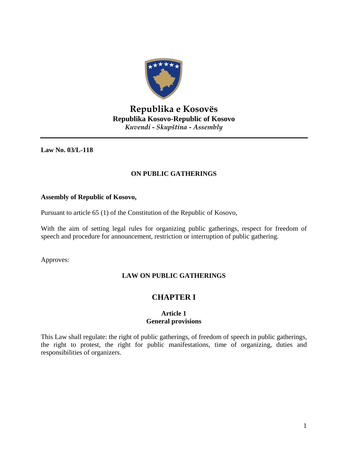

# **Republika e Kosovës Republika Kosovo-Republic of Kosovo** *Kuvendi - Skupština - Assembly*

**Law No. 03/L-118** 

# **ON PUBLIC GATHERINGS**

## **Assembly of Republic of Kosovo,**

Pursuant to article 65 (1) of the Constitution of the Republic of Kosovo,

With the aim of setting legal rules for organizing public gatherings, respect for freedom of speech and procedure for announcement, restriction or interruption of public gathering.

Approves:

# **LAW ON PUBLIC GATHERINGS**

# **CHAPTER I**

## **Article 1 General provisions**

This Law shall regulate: the right of public gatherings, of freedom of speech in public gatherings, the right to protest, the right for public manifestations, time of organizing, duties and responsibilities of organizers.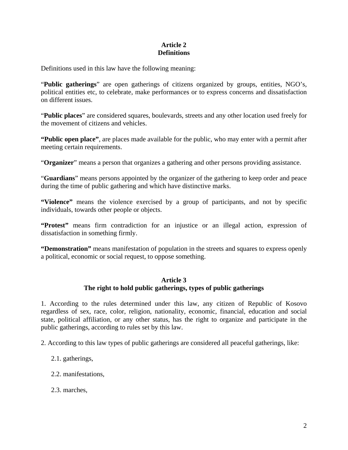# **Article 2 Definitions**

Definitions used in this law have the following meaning:

"**Public gatherings**" are open gatherings of citizens organized by groups, entities, NGO's, political entities etc, to celebrate, make performances or to express concerns and dissatisfaction on different issues.

"**Public places**" are considered squares, boulevards, streets and any other location used freely for the movement of citizens and vehicles.

**"Public open place"**, are places made available for the public, who may enter with a permit after meeting certain requirements.

"**Organizer**" means a person that organizes a gathering and other persons providing assistance.

"**Guardians**" means persons appointed by the organizer of the gathering to keep order and peace during the time of public gathering and which have distinctive marks.

**"Violence"** means the violence exercised by a group of participants, and not by specific individuals, towards other people or objects.

**"Protest"** means firm contradiction for an injustice or an illegal action, expression of dissatisfaction in something firmly.

**"Demonstration"** means manifestation of population in the streets and squares to express openly a political, economic or social request, to oppose something.

## **Article 3 The right to hold public gatherings, types of public gatherings**

1. According to the rules determined under this law, any citizen of Republic of Kosovo regardless of sex, race, color, religion, nationality, economic, financial, education and social state, political affiliation, or any other status, has the right to organize and participate in the public gatherings, according to rules set by this law.

2. According to this law types of public gatherings are considered all peaceful gatherings, like:

- 2.1. gatherings,
- 2.2. manifestations,
- 2.3. marches,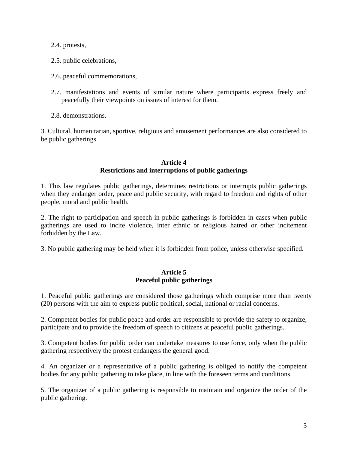2.4. protests,

- 2.5. public celebrations,
- 2.6. peaceful commemorations,
- 2.7. manifestations and events of similar nature where participants express freely and peacefully their viewpoints on issues of interest for them.
- 2.8. demonstrations.

3. Cultural, humanitarian, sportive, religious and amusement performances are also considered to be public gatherings.

## **Article 4 Restrictions and interruptions of public gatherings**

1. This law regulates public gatherings, determines restrictions or interrupts public gatherings when they endanger order, peace and public security, with regard to freedom and rights of other people, moral and public health.

2. The right to participation and speech in public gatherings is forbidden in cases when public gatherings are used to incite violence, inter ethnic or religious hatred or other incitement forbidden by the Law.

3. No public gathering may be held when it is forbidden from police, unless otherwise specified.

## **Article 5 Peaceful public gatherings**

1. Peaceful public gatherings are considered those gatherings which comprise more than twenty (20) persons with the aim to express public political, social, national or racial concerns.

2. Competent bodies for public peace and order are responsible to provide the safety to organize, participate and to provide the freedom of speech to citizens at peaceful public gatherings.

3. Competent bodies for public order can undertake measures to use force, only when the public gathering respectively the protest endangers the general good.

4. An organizer or a representative of a public gathering is obliged to notify the competent bodies for any public gathering to take place, in line with the foreseen terms and conditions.

5. The organizer of a public gathering is responsible to maintain and organize the order of the public gathering.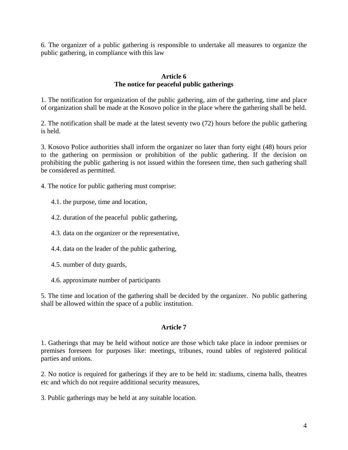6. The organizer of a public gathering is responsible to undertake all measures to organize the public gathering, in compliance with this law

### **Article 6 The notice for peaceful public gatherings**

1. The notification for organization of the public gathering, aim of the gathering, time and place of organization shall be made at the Kosovo police in the place where the gathering shall be held.

2. The notification shall be made at the latest seventy two (72) hours before the public gathering is held.

3. Kosovo Police authorities shall inform the organizer no later than forty eight (48) hours prior to the gathering on permission or prohibition of the public gathering. If the decision on prohibiting the public gathering is not issued within the foreseen time, then such gathering shall be considered as permitted.

4. The notice for public gathering must comprise:

- 4.1. the purpose, time and location,
- 4.2. duration of the peaceful public gathering,
- 4.3. data on the organizer or the representative,
- 4.4. data on the leader of the public gathering,
- 4.5. number of duty guards,
- 4.6. approximate number of participants

5. The time and location of the gathering shall be decided by the organizer. No public gathering shall be allowed within the space of a public institution.

#### **Article 7**

1. Gatherings that may be held without notice are those which take place in indoor premises or premises foreseen for purposes like: meetings, tribunes, round tables of registered political parties and unions.

2. No notice is required for gatherings if they are to be held in: stadiums, cinema halls, theatres etc and which do not require additional security measures,

3. Public gatherings may be held at any suitable location.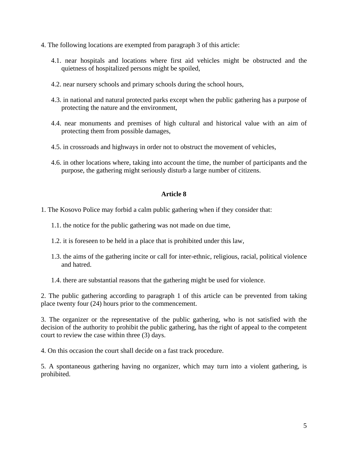- 4. The following locations are exempted from paragraph 3 of this article:
	- 4.1. near hospitals and locations where first aid vehicles might be obstructed and the quietness of hospitalized persons might be spoiled,
	- 4.2. near nursery schools and primary schools during the school hours,
	- 4.3. in national and natural protected parks except when the public gathering has a purpose of protecting the nature and the environment,
	- 4.4. near monuments and premises of high cultural and historical value with an aim of protecting them from possible damages,
	- 4.5. in crossroads and highways in order not to obstruct the movement of vehicles,
	- 4.6. in other locations where, taking into account the time, the number of participants and the purpose, the gathering might seriously disturb a large number of citizens.

## **Article 8**

1. The Kosovo Police may forbid a calm public gathering when if they consider that:

- 1.1. the notice for the public gathering was not made on due time,
- 1.2. it is foreseen to be held in a place that is prohibited under this law,
- 1.3. the aims of the gathering incite or call for inter-ethnic, religious, racial, political violence and hatred.
- 1.4. there are substantial reasons that the gathering might be used for violence.

2. The public gathering according to paragraph 1 of this article can be prevented from taking place twenty four (24) hours prior to the commencement.

3. The organizer or the representative of the public gathering, who is not satisfied with the decision of the authority to prohibit the public gathering, has the right of appeal to the competent court to review the case within three (3) days.

4. On this occasion the court shall decide on a fast track procedure.

5. A spontaneous gathering having no organizer, which may turn into a violent gathering, is prohibited.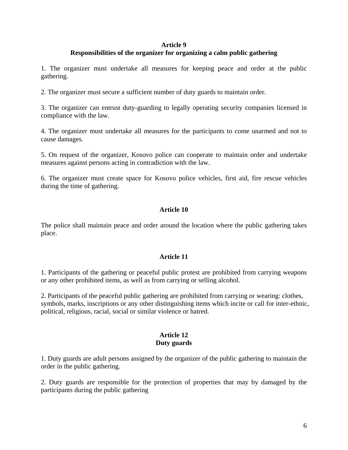#### **Article 9**

# **Responsibilities of the organizer for organizing a calm public gathering**

1. The organizer must undertake all measures for keeping peace and order at the public gathering.

2. The organizer must secure a sufficient number of duty guards to maintain order.

3. The organizer can entrust duty-guarding to legally operating security companies licensed in compliance with the law.

4. The organizer must undertake all measures for the participants to come unarmed and not to cause damages.

5. On request of the organizer, Kosovo police can cooperate to maintain order and undertake measures against persons acting in contradiction with the law.

6. The organizer must create space for Kosovo police vehicles, first aid, fire rescue vehicles during the time of gathering.

## **Article 10**

The police shall maintain peace and order around the location where the public gathering takes place.

#### **Article 11**

1. Participants of the gathering or peaceful public protest are prohibited from carrying weapons or any other prohibited items, as well as from carrying or selling alcohol.

2. Participants of the peaceful public gathering are prohibited from carrying or wearing: clothes, symbols, marks, inscriptions or any other distinguishing items which incite or call for inter-ethnic, political, religious, racial, social or similar violence or hatred.

#### **Article 12 Duty guards**

1. Duty guards are adult persons assigned by the organizer of the public gathering to maintain the order in the public gathering.

2. Duty guards are responsible for the protection of properties that may by damaged by the participants during the public gathering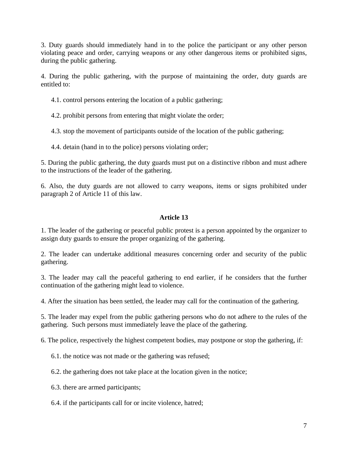3. Duty guards should immediately hand in to the police the participant or any other person violating peace and order, carrying weapons or any other dangerous items or prohibited signs, during the public gathering.

4. During the public gathering, with the purpose of maintaining the order, duty guards are entitled to:

4.1. control persons entering the location of a public gathering;

4.2. prohibit persons from entering that might violate the order;

4.3. stop the movement of participants outside of the location of the public gathering;

4.4. detain (hand in to the police) persons violating order;

5. During the public gathering, the duty guards must put on a distinctive ribbon and must adhere to the instructions of the leader of the gathering.

6. Also, the duty guards are not allowed to carry weapons, items or signs prohibited under paragraph 2 of Article 11 of this law.

# **Article 13**

1. The leader of the gathering or peaceful public protest is a person appointed by the organizer to assign duty guards to ensure the proper organizing of the gathering.

2. The leader can undertake additional measures concerning order and security of the public gathering.

3. The leader may call the peaceful gathering to end earlier, if he considers that the further continuation of the gathering might lead to violence.

4. After the situation has been settled, the leader may call for the continuation of the gathering.

5. The leader may expel from the public gathering persons who do not adhere to the rules of the gathering. Such persons must immediately leave the place of the gathering.

6. The police, respectively the highest competent bodies, may postpone or stop the gathering, if:

6.1. the notice was not made or the gathering was refused;

6.2. the gathering does not take place at the location given in the notice;

6.3. there are armed participants;

6.4. if the participants call for or incite violence, hatred;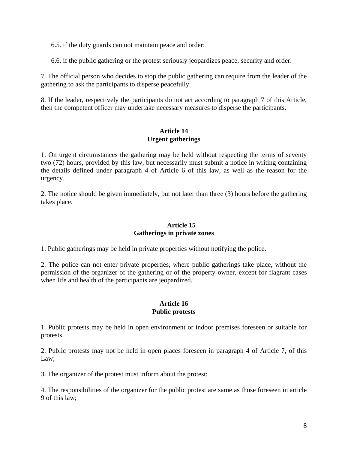6.5. if the duty guards can not maintain peace and order;

6.6. if the public gathering or the protest seriously jeopardizes peace, security and order.

7. The official person who decides to stop the public gathering can require from the leader of the gathering to ask the participants to disperse peacefully.

8. If the leader, respectively the participants do not act according to paragraph 7 of this Article, then the competent officer may undertake necessary measures to disperse the participants.

## **Article 14 Urgent gatherings**

1. On urgent circumstances the gathering may be held without respecting the terms of seventy two (72) hours, provided by this law, but necessarily must submit a notice in writing containing the details defined under paragraph 4 of Article 6 of this law, as well as the reason for the urgency.

2. The notice should be given immediately, but not later than three (3) hours before the gathering takes place.

## **Article 15 Gatherings in private zones**

1. Public gatherings may be held in private properties without notifying the police.

2. The police can not enter private properties, where public gatherings take place, without the permission of the organizer of the gathering or of the property owner, except for flagrant cases when life and health of the participants are jeopardized.

## **Article 16 Public protests**

1. Public protests may be held in open environment or indoor premises foreseen or suitable for protests.

2. Public protests may not be held in open places foreseen in paragraph 4 of Article 7, of this Law;

3. The organizer of the protest must inform about the protest;

4. The responsibilities of the organizer for the public protest are same as those foreseen in article 9 of this law;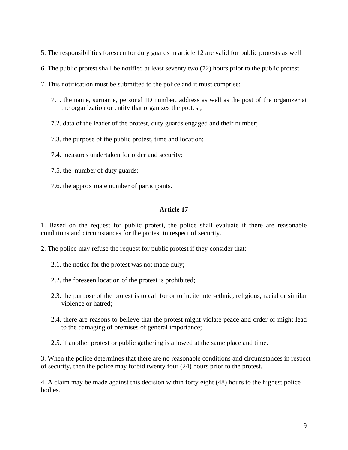- 5. The responsibilities foreseen for duty guards in article 12 are valid for public protests as well
- 6. The public protest shall be notified at least seventy two (72) hours prior to the public protest.
- 7. This notification must be submitted to the police and it must comprise:
	- 7.1. the name, surname, personal ID number, address as well as the post of the organizer at the organization or entity that organizes the protest;
	- 7.2. data of the leader of the protest, duty guards engaged and their number;
	- 7.3. the purpose of the public protest, time and location;
	- 7.4. measures undertaken for order and security;
	- 7.5. the number of duty guards;
	- 7.6. the approximate number of participants.

#### **Article 17**

1. Based on the request for public protest, the police shall evaluate if there are reasonable conditions and circumstances for the protest in respect of security.

2. The police may refuse the request for public protest if they consider that:

- 2.1. the notice for the protest was not made duly;
- 2.2. the foreseen location of the protest is prohibited;
- 2.3. the purpose of the protest is to call for or to incite inter-ethnic, religious, racial or similar violence or hatred;
- 2.4. there are reasons to believe that the protest might violate peace and order or might lead to the damaging of premises of general importance;

2.5. if another protest or public gathering is allowed at the same place and time.

3. When the police determines that there are no reasonable conditions and circumstances in respect of security, then the police may forbid twenty four (24) hours prior to the protest.

4. A claim may be made against this decision within forty eight (48) hours to the highest police bodies.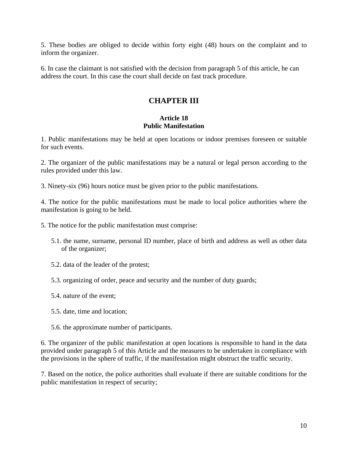5. These bodies are obliged to decide within forty eight (48) hours on the complaint and to inform the organizer.

6. In case the claimant is not satisfied with the decision from paragraph 5 of this article, he can address the court. In this case the court shall decide on fast track procedure.

# **CHAPTER III**

### **Article 18 Public Manifestation**

1. Public manifestations may be held at open locations or indoor premises foreseen or suitable for such events.

2. The organizer of the public manifestations may be a natural or legal person according to the rules provided under this law.

3. Ninety-six (96) hours notice must be given prior to the public manifestations.

4. The notice for the public manifestations must be made to local police authorities where the manifestation is going to be held.

- 5. The notice for the public manifestation must comprise:
	- 5.1. the name, surname, personal ID number, place of birth and address as well as other data of the organizer;
	- 5.2. data of the leader of the protest;
	- 5.3. organizing of order, peace and security and the number of duty guards;
	- 5.4. nature of the event;
	- 5.5. date, time and location;
	- 5.6. the approximate number of participants.

6. The organizer of the public manifestation at open locations is responsible to hand in the data provided under paragraph 5 of this Article and the measures to be undertaken in compliance with the provisions in the sphere of traffic, if the manifestation might obstruct the traffic security.

7. Based on the notice, the police authorities shall evaluate if there are suitable conditions for the public manifestation in respect of security;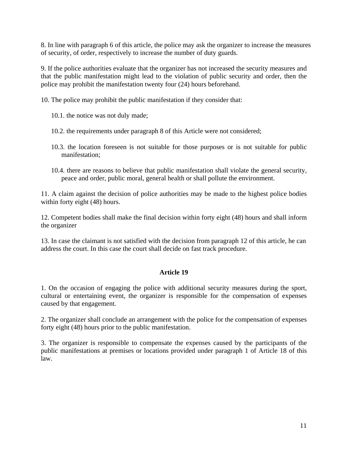8. In line with paragraph 6 of this article, the police may ask the organizer to increase the measures of security, of order, respectively to increase the number of duty guards.

9. If the police authorities evaluate that the organizer has not increased the security measures and that the public manifestation might lead to the violation of public security and order, then the police may prohibit the manifestation twenty four (24) hours beforehand.

10. The police may prohibit the public manifestation if they consider that:

- 10.1. the notice was not duly made;
- 10.2. the requirements under paragraph 8 of this Article were not considered;
- 10.3. the location foreseen is not suitable for those purposes or is not suitable for public manifestation;
- 10.4. there are reasons to believe that public manifestation shall violate the general security, peace and order, public moral, general health or shall pollute the environment.

11. A claim against the decision of police authorities may be made to the highest police bodies within forty eight  $(48)$  hours.

12. Competent bodies shall make the final decision within forty eight (48) hours and shall inform the organizer

13. In case the claimant is not satisfied with the decision from paragraph 12 of this article, he can address the court. In this case the court shall decide on fast track procedure.

## **Article 19**

1. On the occasion of engaging the police with additional security measures during the sport, cultural or entertaining event, the organizer is responsible for the compensation of expenses caused by that engagement.

2. The organizer shall conclude an arrangement with the police for the compensation of expenses forty eight (48) hours prior to the public manifestation.

3. The organizer is responsible to compensate the expenses caused by the participants of the public manifestations at premises or locations provided under paragraph 1 of Article 18 of this law.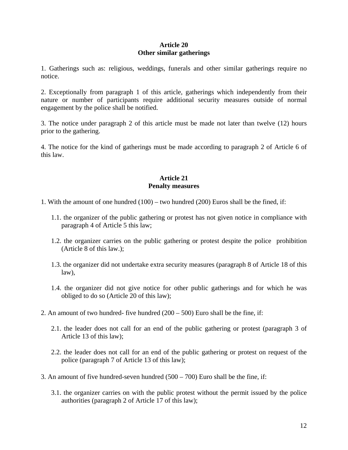### **Article 20 Other similar gatherings**

1. Gatherings such as: religious, weddings, funerals and other similar gatherings require no notice.

2. Exceptionally from paragraph 1 of this article, gatherings which independently from their nature or number of participants require additional security measures outside of normal engagement by the police shall be notified.

3. The notice under paragraph 2 of this article must be made not later than twelve (12) hours prior to the gathering.

4. The notice for the kind of gatherings must be made according to paragraph 2 of Article 6 of this law.

## **Article 21 Penalty measures**

- 1. With the amount of one hundred (100) two hundred (200) Euros shall be the fined, if:
	- 1.1. the organizer of the public gathering or protest has not given notice in compliance with paragraph 4 of Article 5 this law;
	- 1.2. the organizer carries on the public gathering or protest despite the police prohibition (Article 8 of this law.);
	- 1.3. the organizer did not undertake extra security measures (paragraph 8 of Article 18 of this law),
	- 1.4. the organizer did not give notice for other public gatherings and for which he was obliged to do so (Article 20 of this law);
- 2. An amount of two hundred- five hundred  $(200 500)$  Euro shall be the fine, if:
	- 2.1. the leader does not call for an end of the public gathering or protest (paragraph 3 of Article 13 of this law);
	- 2.2. the leader does not call for an end of the public gathering or protest on request of the police (paragraph 7 of Article 13 of this law);
- 3. An amount of five hundred-seven hundred (500 700) Euro shall be the fine, if:
	- 3.1. the organizer carries on with the public protest without the permit issued by the police authorities (paragraph 2 of Article 17 of this law);